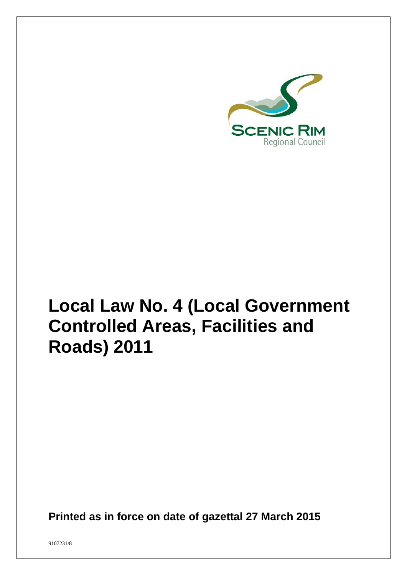

# **Local Law No. 4 (Local Government Controlled Areas, Facilities and Roads) 2011**

**Printed as in force on date of gazettal 27 March 2015**

9107231/8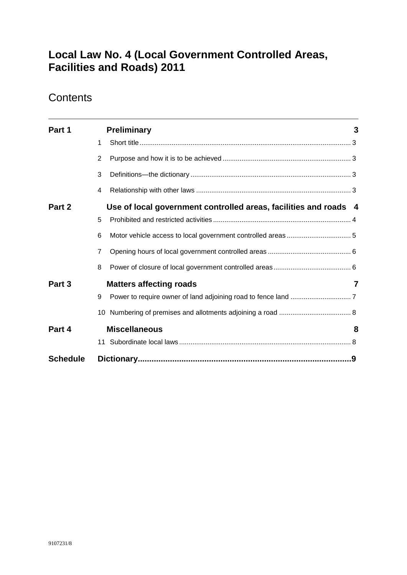# **Local Law No. 4 (Local Government Controlled Areas, Facilities and Roads) 2011**

# **Contents**

| Part 1          |                | <b>Preliminary</b>                                               | 3 |
|-----------------|----------------|------------------------------------------------------------------|---|
|                 | 1              |                                                                  |   |
|                 | $\overline{2}$ |                                                                  |   |
|                 | 3              |                                                                  |   |
|                 | 4              |                                                                  |   |
| Part 2          |                | Use of local government controlled areas, facilities and roads 4 |   |
|                 | 5              |                                                                  |   |
|                 | 6              |                                                                  |   |
|                 | $\overline{7}$ |                                                                  |   |
|                 | 8              |                                                                  |   |
| Part 3          |                | <b>Matters affecting roads</b>                                   | 7 |
|                 | 9              |                                                                  |   |
|                 | 10             |                                                                  |   |
| Part 4          |                | <b>Miscellaneous</b>                                             | 8 |
|                 |                |                                                                  |   |
| <b>Schedule</b> |                |                                                                  |   |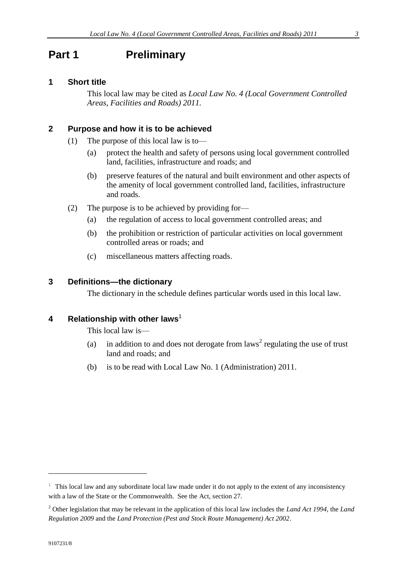### <span id="page-2-0"></span>**Part 1 Preliminary**

#### <span id="page-2-1"></span>**1 Short title**

This local law may be cited as *Local Law No. 4 (Local Government Controlled Areas, Facilities and Roads) 2011.*

#### <span id="page-2-2"></span>**2 Purpose and how it is to be achieved**

- (1) The purpose of this local law is to—
	- (a) protect the health and safety of persons using local government controlled land, facilities, infrastructure and roads; and
	- (b) preserve features of the natural and built environment and other aspects of the amenity of local government controlled land, facilities, infrastructure and roads.
- (2) The purpose is to be achieved by providing for—
	- (a) the regulation of access to local government controlled areas; and
	- (b) the prohibition or restriction of particular activities on local government controlled areas or roads; and
	- (c) miscellaneous matters affecting roads.

#### <span id="page-2-3"></span>**3 Definitions—the dictionary**

The dictionary in the schedule defines particular words used in this local law.

#### <span id="page-2-4"></span>**4 Relationship with other laws**<sup>1</sup>

This local law is—

- (a) in addition to and does not derogate from laws<sup>2</sup> regulating the use of trust land and roads; and
- (b) is to be read with Local Law No. 1 (Administration) 2011.

 $1$  This local law and any subordinate local law made under it do not apply to the extent of any inconsistency with a law of the State or the Commonwealth. See the Act, section 27.

<sup>2</sup> Other legislation that may be relevant in the application of this local law includes the *Land Act 1994*, the *Land Regulation 2009* and the *Land Protection (Pest and Stock Route Management) Act 2002*.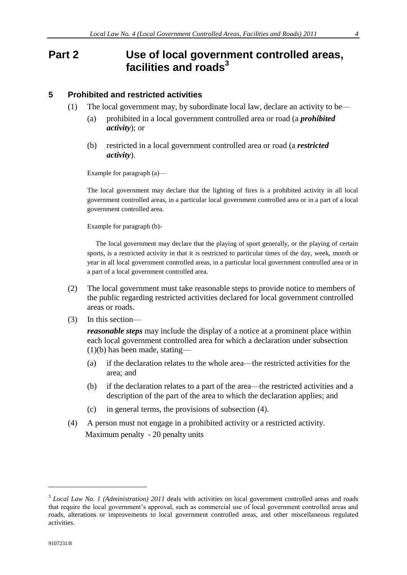### <span id="page-3-0"></span>**Part 2 Use of local government controlled areas, facilities and roads<sup>3</sup>**

#### <span id="page-3-1"></span>**5 Prohibited and restricted activities**

- (1) The local government may, by subordinate local law, declare an activity to be—
	- (a) prohibited in a local government controlled area or road (a *prohibited activity*); or
	- (b) restricted in a local government controlled area or road (a *restricted activity*).

Example for paragraph (a)—

The local government may declare that the lighting of fires is a prohibited activity in all local government controlled areas, in a particular local government controlled area or in a part of a local government controlled area.

Example for paragraph (b)-

 The local government may declare that the playing of sport generally, or the playing of certain sports, is a restricted activity in that it is restricted to particular times of the day, week, month or year in all local government controlled areas, in a particular local government controlled area or in a part of a local government controlled area.

- (2) The local government must take reasonable steps to provide notice to members of the public regarding restricted activities declared for local government controlled areas or roads.
- (3) In this section—

*reasonable steps* may include the display of a notice at a prominent place within each local government controlled area for which a declaration under subsection (1)(b) has been made, stating—

- (a) if the declaration relates to the whole area—the restricted activities for the area; and
- (b) if the declaration relates to a part of the area—the restricted activities and a description of the part of the area to which the declaration applies; and
- (c) in general terms, the provisions of subsection (4).
- (4) A person must not engage in a prohibited activity or a restricted activity. Maximum penalty - 20 penalty units

<sup>&</sup>lt;sup>3</sup> Local Law No. 1 (Administration) 2011 deals with activities on local government controlled areas and roads that require the local government's approval, such as commercial use of local government controlled areas and roads, alterations or improvements to local government controlled areas, and other miscellaneous regulated activities.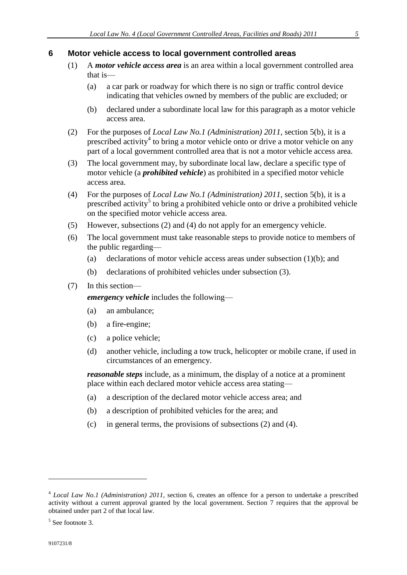#### <span id="page-4-0"></span>**6 Motor vehicle access to local government controlled areas**

- (1) A *motor vehicle access area* is an area within a local government controlled area that is—
	- (a) a car park or roadway for which there is no sign or traffic control device indicating that vehicles owned by members of the public are excluded; or
	- (b) declared under a subordinate local law for this paragraph as a motor vehicle access area.
- (2) For the purposes of *Local Law No.1 (Administration) 2011*, section 5(b), it is a prescribed activity<sup>4</sup> to bring a motor vehicle onto or drive a motor vehicle on any part of a local government controlled area that is not a motor vehicle access area.
- (3) The local government may, by subordinate local law, declare a specific type of motor vehicle (a *prohibited vehicle*) as prohibited in a specified motor vehicle access area.
- (4) For the purposes of *Local Law No.1 (Administration) 2011*, section 5(b), it is a prescribed activity<sup>5</sup> to bring a prohibited vehicle onto or drive a prohibited vehicle on the specified motor vehicle access area.
- (5) However, subsections (2) and (4) do not apply for an emergency vehicle.
- (6) The local government must take reasonable steps to provide notice to members of the public regarding—
	- (a) declarations of motor vehicle access areas under subsection  $(1)(b)$ ; and
	- (b) declarations of prohibited vehicles under subsection (3).
- (7) In this section—

*emergency vehicle* includes the following—

- (a) an ambulance;
- (b) a fire-engine;
- (c) a police vehicle;
- (d) another vehicle, including a tow truck, helicopter or mobile crane, if used in circumstances of an emergency.

*reasonable steps* include, as a minimum, the display of a notice at a prominent place within each declared motor vehicle access area stating—

- (a) a description of the declared motor vehicle access area; and
- (b) a description of prohibited vehicles for the area; and
- (c) in general terms, the provisions of subsections (2) and (4).

<sup>4</sup> *Local Law No.1 (Administration) 2011*, section 6, creates an offence for a person to undertake a prescribed activity without a current approval granted by the local government. Section 7 requires that the approval be obtained under part 2 of that local law.

<sup>5</sup> See footnote 3.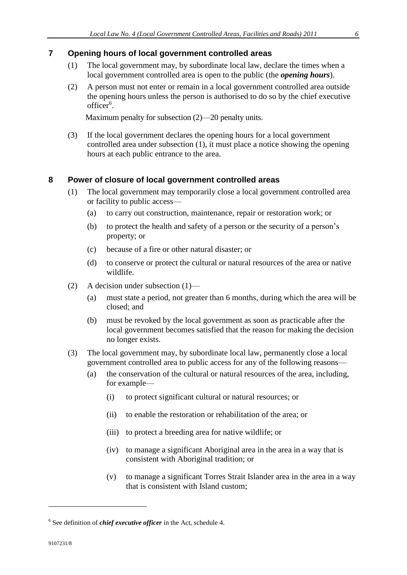#### <span id="page-5-0"></span>**7 Opening hours of local government controlled areas**

- (1) The local government may, by subordinate local law, declare the times when a local government controlled area is open to the public (the *opening hours*).
- (2) A person must not enter or remain in a local government controlled area outside the opening hours unless the person is authorised to do so by the chief executive officer<sup>6</sup>.

Maximum penalty for subsection (2)—20 penalty units.

(3) If the local government declares the opening hours for a local government controlled area under subsection (1), it must place a notice showing the opening hours at each public entrance to the area.

#### <span id="page-5-1"></span>**8 Power of closure of local government controlled areas**

- (1) The local government may temporarily close a local government controlled area or facility to public access—
	- (a) to carry out construction, maintenance, repair or restoration work; or
	- (b) to protect the health and safety of a person or the security of a person's property; or
	- (c) because of a fire or other natural disaster; or
	- (d) to conserve or protect the cultural or natural resources of the area or native wildlife.
- (2) A decision under subsection (1)—
	- (a) must state a period, not greater than 6 months, during which the area will be closed; and
	- (b) must be revoked by the local government as soon as practicable after the local government becomes satisfied that the reason for making the decision no longer exists.
- (3) The local government may, by subordinate local law, permanently close a local government controlled area to public access for any of the following reasons—
	- (a) the conservation of the cultural or natural resources of the area, including, for example—
		- (i) to protect significant cultural or natural resources; or
		- (ii) to enable the restoration or rehabilitation of the area; or
		- (iii) to protect a breeding area for native wildlife; or
		- (iv) to manage a significant Aboriginal area in the area in a way that is consistent with Aboriginal tradition; or
		- (v) to manage a significant Torres Strait Islander area in the area in a way that is consistent with Island custom;

<sup>6</sup> See definition of *chief executive officer* in the Act, schedule 4.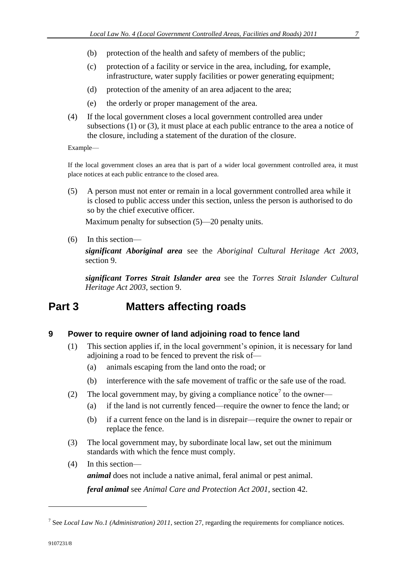- (b) protection of the health and safety of members of the public;
- (c) protection of a facility or service in the area, including, for example, infrastructure, water supply facilities or power generating equipment;
- (d) protection of the amenity of an area adjacent to the area;
- (e) the orderly or proper management of the area.
- (4) If the local government closes a local government controlled area under subsections (1) or (3), it must place at each public entrance to the area a notice of the closure, including a statement of the duration of the closure.

Example—

If the local government closes an area that is part of a wider local government controlled area, it must place notices at each public entrance to the closed area.

(5) A person must not enter or remain in a local government controlled area while it is closed to public access under this section, unless the person is authorised to do so by the chief executive officer.

Maximum penalty for subsection (5)—20 penalty units.

(6) In this section—

*significant Aboriginal area* see the *Aboriginal Cultural Heritage Act 2003*, section 9.

*significant Torres Strait Islander area* see the *Torres Strait Islander Cultural Heritage Act 2003*, section 9.

## <span id="page-6-0"></span>**Part 3 Matters affecting roads**

#### <span id="page-6-1"></span>**9 Power to require owner of land adjoining road to fence land**

- (1) This section applies if, in the local government's opinion, it is necessary for land adjoining a road to be fenced to prevent the risk of—
	- (a) animals escaping from the land onto the road; or
	- (b) interference with the safe movement of traffic or the safe use of the road.
- (2) The local government may, by giving a compliance notice<sup>7</sup> to the owner—
	- (a) if the land is not currently fenced—require the owner to fence the land; or
	- (b) if a current fence on the land is in disrepair—require the owner to repair or replace the fence.
- (3) The local government may, by subordinate local law, set out the minimum standards with which the fence must comply.
- (4) In this section *animal* does not include a native animal, feral animal or pest animal. *feral animal* see *Animal Care and Protection Act 2001*, section 42.

<sup>7</sup> See *Local Law No.1 (Administration) 2011*, section 27, regarding the requirements for compliance notices.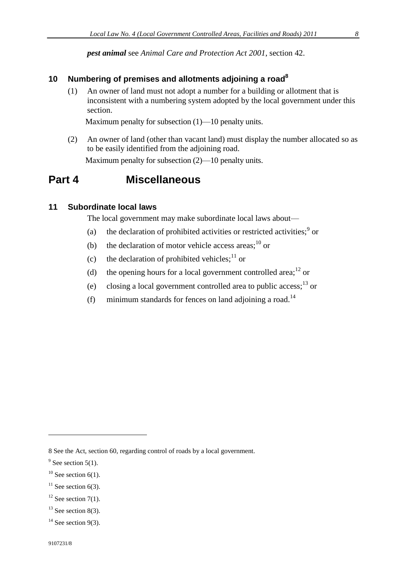*pest animal* see *Animal Care and Protection Act 2001*, section 42.

## <span id="page-7-0"></span>**10 Numbering of premises and allotments adjoining a road<sup>8</sup>**

(1) An owner of land must not adopt a number for a building or allotment that is inconsistent with a numbering system adopted by the local government under this section.

Maximum penalty for subsection (1)—10 penalty units.

(2) An owner of land (other than vacant land) must display the number allocated so as to be easily identified from the adjoining road. Maximum penalty for subsection (2)—10 penalty units.

#### <span id="page-7-1"></span>**Part 4 Miscellaneous**

#### <span id="page-7-2"></span>**11 Subordinate local laws**

The local government may make subordinate local laws about—

- (a) the declaration of prohibited activities or restricted activities; $9$  or
- (b) the declaration of motor vehicle access areas; $^{10}$  or
- (c) the declaration of prohibited vehicles;  $11$  or
- (d) the opening hours for a local government controlled area;<sup>12</sup> or
- (e) closing a local government controlled area to public access;<sup>13</sup> or
- (f) minimum standards for fences on land adjoining a road.<sup>14</sup>

<sup>8</sup> See the Act, section 60, regarding control of roads by a local government.

 $9^9$  See section 5(1).

 $10$  See section 6(1).

 $11$  See section 6(3).

 $12$  See section 7(1).

 $13$  See section 8(3).

 $14$  See section 9(3).